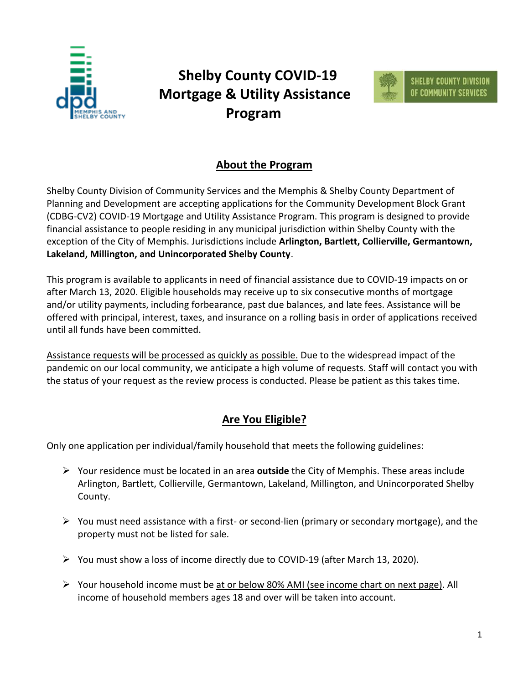

## **Shelby County COVID-19 Mortgage & Utility Assistance Program**



## **About the Program**

Shelby County Division of Community Services and the Memphis & Shelby County Department of Planning and Development are accepting applications for the Community Development Block Grant (CDBG-CV2) COVID-19 Mortgage and Utility Assistance Program. This program is designed to provide financial assistance to people residing in any municipal jurisdiction within Shelby County with the exception of the City of Memphis. Jurisdictions include **Arlington, Bartlett, Collierville, Germantown, Lakeland, Millington, and Unincorporated Shelby County**.

This program is available to applicants in need of financial assistance due to COVID-19 impacts on or after March 13, 2020. Eligible households may receive up to six consecutive months of mortgage and/or utility payments, including forbearance, past due balances, and late fees. Assistance will be offered with principal, interest, taxes, and insurance on a rolling basis in order of applications received until all funds have been committed.

Assistance requests will be processed as quickly as possible. Due to the widespread impact of the pandemic on our local community, we anticipate a high volume of requests. Staff will contact you with the status of your request as the review process is conducted. Please be patient as this takes time.

### **Are You Eligible?**

Only one application per individual/family household that meets the following guidelines:

- ➢ Your residence must be located in an area **outside** the City of Memphis. These areas include Arlington, Bartlett, Collierville, Germantown, Lakeland, Millington, and Unincorporated Shelby County.
- ➢ You must need assistance with a first- or second-lien (primary or secondary mortgage), and the property must not be listed for sale.
- ➢ You must show a loss of income directly due to COVID-19 (after March 13, 2020).
- ➢ Your household income must be at or below 80% AMI (see income chart on next page). All income of household members ages 18 and over will be taken into account.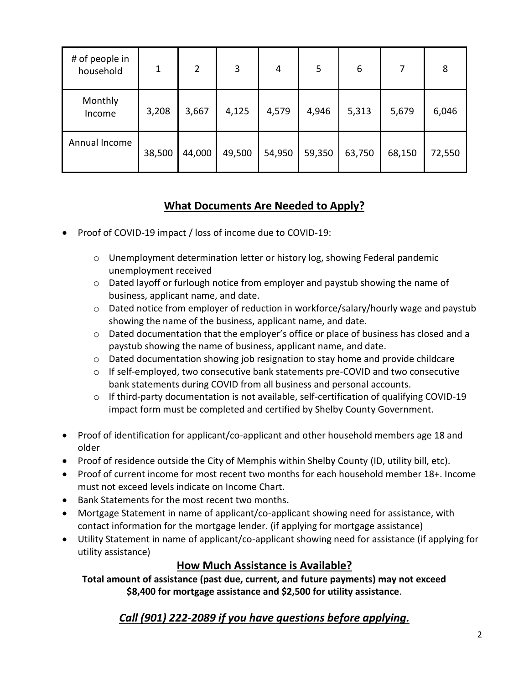| # of people in<br>household | 1      | $\overline{2}$ | 3      | 4      | 5      | 6      |        | 8      |
|-----------------------------|--------|----------------|--------|--------|--------|--------|--------|--------|
| Monthly<br>Income           | 3,208  | 3,667          | 4,125  | 4,579  | 4,946  | 5,313  | 5,679  | 6,046  |
| Annual Income               | 38,500 | 44,000         | 49,500 | 54,950 | 59,350 | 63,750 | 68,150 | 72,550 |

## **What Documents Are Needed to Apply?**

- Proof of COVID-19 impact / loss of income due to COVID-19:
	- o Unemployment determination letter or history log, showing Federal pandemic unemployment received
	- $\circ$  Dated layoff or furlough notice from employer and paystub showing the name of business, applicant name, and date.
	- o Dated notice from employer of reduction in workforce/salary/hourly wage and paystub showing the name of the business, applicant name, and date.
	- $\circ$  Dated documentation that the employer's office or place of business has closed and a paystub showing the name of business, applicant name, and date.
	- $\circ$  Dated documentation showing job resignation to stay home and provide childcare
	- $\circ$  If self-employed, two consecutive bank statements pre-COVID and two consecutive bank statements during COVID from all business and personal accounts.
	- $\circ$  If third-party documentation is not available, self-certification of qualifying COVID-19 impact form must be completed and certified by Shelby County Government.
- Proof of identification for applicant/co-applicant and other household members age 18 and older
- Proof of residence outside the City of Memphis within Shelby County (ID, utility bill, etc).
- Proof of current income for most recent two months for each household member 18+. Income must not exceed levels indicate on Income Chart.
- Bank Statements for the most recent two months.
- Mortgage Statement in name of applicant/co-applicant showing need for assistance, with contact information for the mortgage lender. (if applying for mortgage assistance)
- Utility Statement in name of applicant/co-applicant showing need for assistance (if applying for utility assistance)

## **How Much Assistance is Available?**

**Total amount of assistance (past due, current, and future payments) may not exceed \$8,400 for mortgage assistance and \$2,500 for utility assistance**.

## *Call (901) 222-2089 if you have questions before applying.*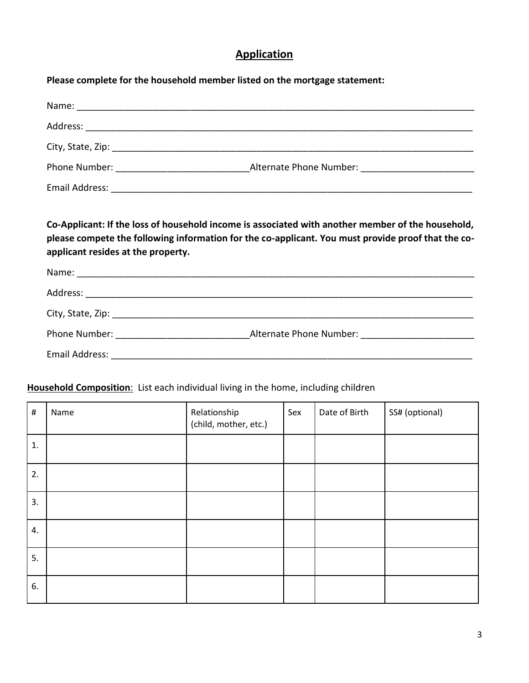## **Application**

|                                    | Please complete for the household member listed on the mortgage statement:                                                                                                                              |
|------------------------------------|---------------------------------------------------------------------------------------------------------------------------------------------------------------------------------------------------------|
|                                    |                                                                                                                                                                                                         |
|                                    |                                                                                                                                                                                                         |
|                                    |                                                                                                                                                                                                         |
|                                    |                                                                                                                                                                                                         |
|                                    |                                                                                                                                                                                                         |
| applicant resides at the property. | Co-Applicant: If the loss of household income is associated with another member of the household,<br>please compete the following information for the co-applicant. You must provide proof that the co- |
|                                    |                                                                                                                                                                                                         |
|                                    |                                                                                                                                                                                                         |
|                                    |                                                                                                                                                                                                         |
|                                    |                                                                                                                                                                                                         |
|                                    |                                                                                                                                                                                                         |

#### **Household Composition**: List each individual living in the home, including children

| $\#$ | Name | Relationship<br>(child, mother, etc.) | Sex | Date of Birth | SS# (optional) |
|------|------|---------------------------------------|-----|---------------|----------------|
| 1.   |      |                                       |     |               |                |
| 2.   |      |                                       |     |               |                |
| 3.   |      |                                       |     |               |                |
| 4.   |      |                                       |     |               |                |
| 5.   |      |                                       |     |               |                |
| 6.   |      |                                       |     |               |                |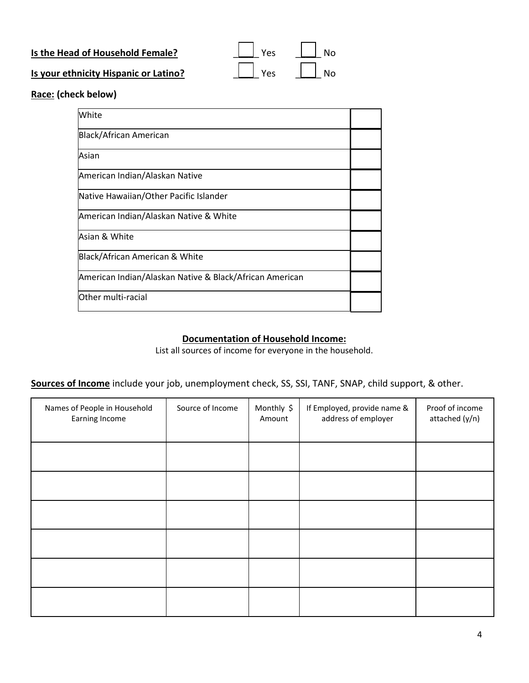| Is the Head of Household Female?      | $\vert$ $\vert$ Yes | $\begin{array}{c c c c c} \hline \quad & \quad \text{No} \end{array}$                                      |
|---------------------------------------|---------------------|------------------------------------------------------------------------------------------------------------|
| Is your ethnicity Hispanic or Latino? |                     | $\begin{array}{ c c c c c }\n\hline\n\end{array}$ Yes $\begin{array}{ c c c c c }\n\hline\n\end{array}$ No |

**Race: (check below)**

| White                                                   |  |
|---------------------------------------------------------|--|
| Black/African American                                  |  |
| Asian                                                   |  |
| American Indian/Alaskan Native                          |  |
| Native Hawaiian/Other Pacific Islander                  |  |
| American Indian/Alaskan Native & White                  |  |
| Asian & White                                           |  |
| Black/African American & White                          |  |
| American Indian/Alaskan Native & Black/African American |  |
| Other multi-racial                                      |  |

#### **Documentation of Household Income:**

List all sources of income for everyone in the household.

**Sources of Income** include your job, unemployment check, SS, SSI, TANF, SNAP, child support, & other.

| Names of People in Household<br>Earning Income | Source of Income | Monthly \$<br>Amount | If Employed, provide name &<br>address of employer | Proof of income<br>attached (y/n) |
|------------------------------------------------|------------------|----------------------|----------------------------------------------------|-----------------------------------|
|                                                |                  |                      |                                                    |                                   |
|                                                |                  |                      |                                                    |                                   |
|                                                |                  |                      |                                                    |                                   |
|                                                |                  |                      |                                                    |                                   |
|                                                |                  |                      |                                                    |                                   |
|                                                |                  |                      |                                                    |                                   |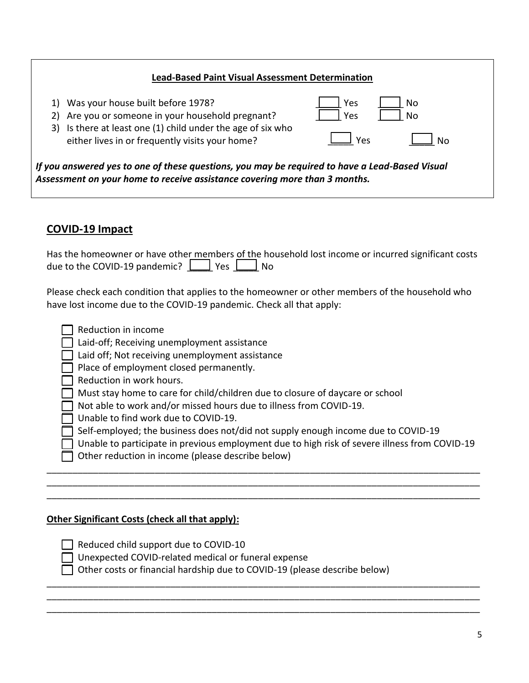#### **Lead-Based Paint Visual Assessment Determination**

1) Was your house built before 1978? 2) Are you or someone in your household pregnant? \_\_\_\_\_ Yes \_\_\_\_\_ No 3) Is there at least one (1) child under the age of six who either lives in or frequently visits your home? \_\_\_\_\_ No \_\_\_\_\_ Yes

*If you answered yes to one of these questions, you may be required to have a Lead-Based Visual Assessment on your home to receive assistance covering more than 3 months.*

#### **COVID-19 Impact**

| Has the homeowner or have other members of the household lost income or incurred significant costs |  |  |  |
|----------------------------------------------------------------------------------------------------|--|--|--|
| due to the COVID-19 pandemic? $\Box$ Yes $\Box$ No                                                 |  |  |  |

Please check each condition that applies to the homeowner or other members of the household who have lost income due to the COVID-19 pandemic. Check all that apply:

| Reduction in income |  |  |
|---------------------|--|--|
|---------------------|--|--|

 $\Box$  Laid-off; Receiving unemployment assistance

 $\Box$  Laid off; Not receiving unemployment assistance

Place of employment closed permanently.

Reduction in work hours.

Must stay home to care for child/children due to closure of daycare or school

Not able to work and/or missed hours due to illness from COVID-19.

Unable to find work due to COVID-19.

 $\Box$  Self-employed; the business does not/did not supply enough income due to COVID-19

\_\_\_\_\_\_\_\_\_\_\_\_\_\_\_\_\_\_\_\_\_\_\_\_\_\_\_\_\_\_\_\_\_\_\_\_\_\_\_\_\_\_\_\_\_\_\_\_\_\_\_\_\_\_\_\_\_\_\_\_\_\_\_\_\_\_\_\_\_\_\_\_\_\_\_\_\_\_\_\_\_\_\_\_ \_\_\_\_\_\_\_\_\_\_\_\_\_\_\_\_\_\_\_\_\_\_\_\_\_\_\_\_\_\_\_\_\_\_\_\_\_\_\_\_\_\_\_\_\_\_\_\_\_\_\_\_\_\_\_\_\_\_\_\_\_\_\_\_\_\_\_\_\_\_\_\_\_\_\_\_\_\_\_\_\_\_\_\_ \_\_\_\_\_\_\_\_\_\_\_\_\_\_\_\_\_\_\_\_\_\_\_\_\_\_\_\_\_\_\_\_\_\_\_\_\_\_\_\_\_\_\_\_\_\_\_\_\_\_\_\_\_\_\_\_\_\_\_\_\_\_\_\_\_\_\_\_\_\_\_\_\_\_\_\_\_\_\_\_\_\_\_\_

\_\_\_\_\_\_\_\_\_\_\_\_\_\_\_\_\_\_\_\_\_\_\_\_\_\_\_\_\_\_\_\_\_\_\_\_\_\_\_\_\_\_\_\_\_\_\_\_\_\_\_\_\_\_\_\_\_\_\_\_\_\_\_\_\_\_\_\_\_\_\_\_\_\_\_\_\_\_\_\_\_\_\_\_ \_\_\_\_\_\_\_\_\_\_\_\_\_\_\_\_\_\_\_\_\_\_\_\_\_\_\_\_\_\_\_\_\_\_\_\_\_\_\_\_\_\_\_\_\_\_\_\_\_\_\_\_\_\_\_\_\_\_\_\_\_\_\_\_\_\_\_\_\_\_\_\_\_\_\_\_\_\_\_\_\_\_\_\_ \_\_\_\_\_\_\_\_\_\_\_\_\_\_\_\_\_\_\_\_\_\_\_\_\_\_\_\_\_\_\_\_\_\_\_\_\_\_\_\_\_\_\_\_\_\_\_\_\_\_\_\_\_\_\_\_\_\_\_\_\_\_\_\_\_\_\_\_\_\_\_\_\_\_\_\_\_\_\_\_\_\_\_\_

Unable to participate in previous employment due to high risk of severe illness from COVID-19

Other reduction in income (please describe below)

#### **Other Significant Costs (check all that apply):**

| $\Box$ Reduced child support due to COVID-10                              |
|---------------------------------------------------------------------------|
| □ Unexpected COVID-related medical or funeral expense                     |
| Other costs or financial hardship due to COVID-19 (please describe below) |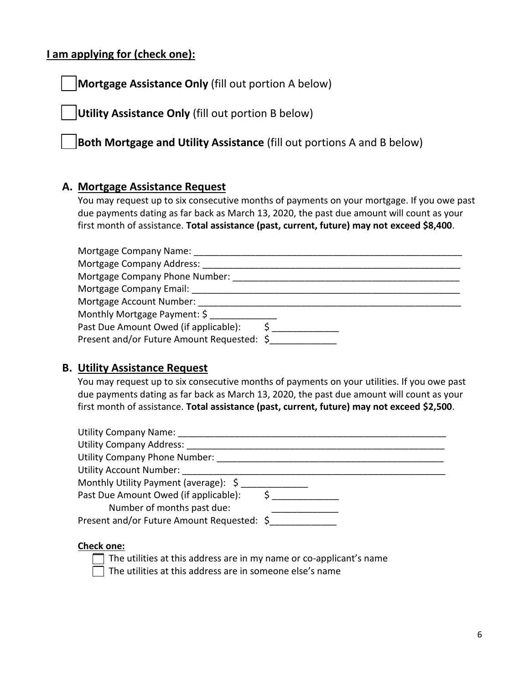#### **I am applying for (check one):**

**Mortgage Assistance Only** (fill out portion A below)

**Utility Assistance Only** (fill out portion B below)

**Both Mortgage and Utility Assistance** (fill out portions A and B below)

#### **A. Mortgage Assistance Request**

You may request up to six consecutive months of payments on your mortgage. If you owe past due payments dating as far back as March 13, 2020, the past due amount will count as your first month of assistance. **Total assistance (past, current, future) may not exceed \$8,400**.

| Mortgage Company Name:                     |  |
|--------------------------------------------|--|
| Mortgage Company Address:                  |  |
| Mortgage Company Phone Number:             |  |
| Mortgage Company Email:                    |  |
| Mortgage Account Number:                   |  |
| Monthly Mortgage Payment: \$               |  |
| Past Due Amount Owed (if applicable):      |  |
| Present and/or Future Amount Requested: \$ |  |

#### **B. Utility Assistance Request**

You may request up to six consecutive months of payments on your utilities. If you owe past due payments dating as far back as March 13, 2020, the past due amount will count as your first month of assistance. **Total assistance (past, current, future) may not exceed \$2,500**.

| <b>Utility Company Name:</b>               |  |
|--------------------------------------------|--|
| <b>Utility Company Address:</b>            |  |
| <b>Utility Company Phone Number:</b>       |  |
| <b>Utility Account Number:</b>             |  |
| Monthly Utility Payment (average): \$      |  |
| Past Due Amount Owed (if applicable):      |  |
| Number of months past due:                 |  |
| Present and/or Future Amount Requested: \$ |  |
|                                            |  |

#### **Check one:**

| The utilities at this address are in my name or co-applicant's name |
|---------------------------------------------------------------------|
| The utilities at this address are in someone else's name            |

6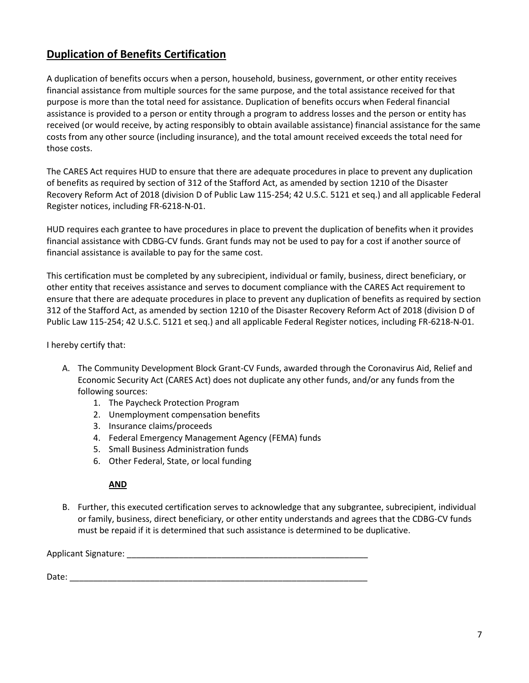#### **Duplication of Benefits Certification**

A duplication of benefits occurs when a person, household, business, government, or other entity receives financial assistance from multiple sources for the same purpose, and the total assistance received for that purpose is more than the total need for assistance. Duplication of benefits occurs when Federal financial assistance is provided to a person or entity through a program to address losses and the person or entity has received (or would receive, by acting responsibly to obtain available assistance) financial assistance for the same costs from any other source (including insurance), and the total amount received exceeds the total need for those costs.

The CARES Act requires HUD to ensure that there are adequate procedures in place to prevent any duplication of benefits as required by section of 312 of the Stafford Act, as amended by section 1210 of the Disaster Recovery Reform Act of 2018 (division D of Public Law 115-254; 42 U.S.C. 5121 et seq.) and all applicable Federal Register notices, including FR-6218-N-01.

HUD requires each grantee to have procedures in place to prevent the duplication of benefits when it provides financial assistance with CDBG-CV funds. Grant funds may not be used to pay for a cost if another source of financial assistance is available to pay for the same cost.

This certification must be completed by any subrecipient, individual or family, business, direct beneficiary, or other entity that receives assistance and serves to document compliance with the CARES Act requirement to ensure that there are adequate procedures in place to prevent any duplication of benefits as required by section 312 of the Stafford Act, as amended by section 1210 of the Disaster Recovery Reform Act of 2018 (division D of Public Law 115-254; 42 U.S.C. 5121 et seq.) and all applicable Federal Register notices, including FR-6218-N-01.

I hereby certify that:

- A. The Community Development Block Grant-CV Funds, awarded through the Coronavirus Aid, Relief and Economic Security Act (CARES Act) does not duplicate any other funds, and/or any funds from the following sources:
	- 1. The Paycheck Protection Program
	- 2. Unemployment compensation benefits
	- 3. Insurance claims/proceeds
	- 4. Federal Emergency Management Agency (FEMA) funds
	- 5. Small Business Administration funds
	- 6. Other Federal, State, or local funding

#### **AND**

B. Further, this executed certification serves to acknowledge that any subgrantee, subrecipient, individual or family, business, direct beneficiary, or other entity understands and agrees that the CDBG-CV funds must be repaid if it is determined that such assistance is determined to be duplicative.

Applicant Signature: \_\_\_\_\_\_\_\_\_\_\_\_\_\_\_\_\_\_\_\_\_\_\_\_\_\_\_\_\_\_\_\_\_\_\_\_\_\_\_\_\_\_\_\_\_\_\_\_\_\_\_

Date: \_\_\_\_\_\_\_\_\_\_\_\_\_\_\_\_\_\_\_\_\_\_\_\_\_\_\_\_\_\_\_\_\_\_\_\_\_\_\_\_\_\_\_\_\_\_\_\_\_\_\_\_\_\_\_\_\_\_\_\_\_\_\_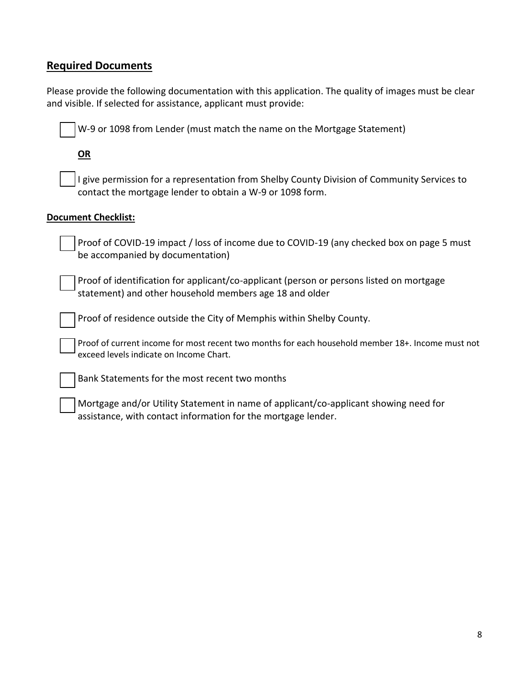#### **Required Documents**

Please provide the following documentation with this application. The quality of images must be clear and visible. If selected for assistance, applicant must provide:

W-9 or 1098 from Lender (must match the name on the Mortgage Statement)

**OR**

 I give permission for a representation from Shelby County Division of Community Services to contact the mortgage lender to obtain a W-9 or 1098 form.

#### **Document Checklist:**

 Proof of COVID-19 impact / loss of income due to COVID-19 (any checked box on page 5 must be accompanied by documentation)

 Proof of identification for applicant/co-applicant (person or persons listed on mortgage statement) and other household members age 18 and older

Proof of residence outside the City of Memphis within Shelby County.

 Proof of current income for most recent two months for each household member 18+. Income must not exceed levels indicate on Income Chart.

Bank Statements for the most recent two months

 Mortgage and/or Utility Statement in name of applicant/co-applicant showing need for assistance, with contact information for the mortgage lender.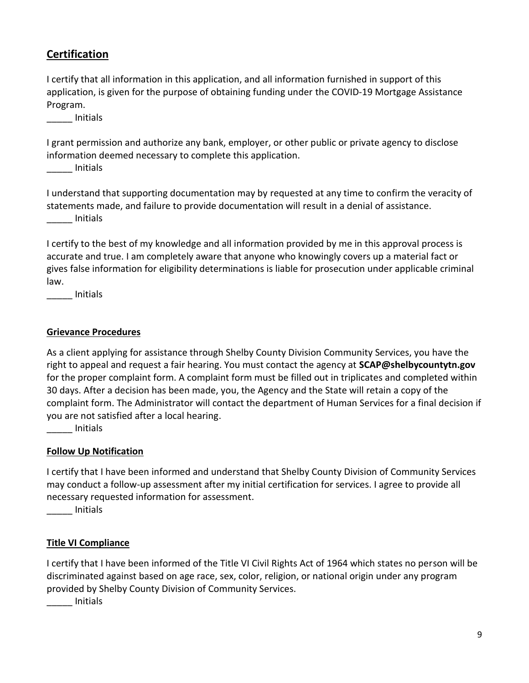#### **Certification**

I certify that all information in this application, and all information furnished in support of this application, is given for the purpose of obtaining funding under the COVID-19 Mortgage Assistance Program.

\_\_\_\_\_ Initials

I grant permission and authorize any bank, employer, or other public or private agency to disclose information deemed necessary to complete this application.

\_\_\_\_\_ Initials

I understand that supporting documentation may by requested at any time to confirm the veracity of statements made, and failure to provide documentation will result in a denial of assistance. \_\_\_\_\_ Initials

I certify to the best of my knowledge and all information provided by me in this approval process is accurate and true. I am completely aware that anyone who knowingly covers up a material fact or gives false information for eligibility determinations is liable for prosecution under applicable criminal law.

\_\_\_\_\_ Initials

#### **Grievance Procedures**

As a client applying for assistance through Shelby County Division Community Services, you have the right to appeal and request a fair hearing. You must contact the agency at **SCAP@shelbycountytn.gov** for the proper complaint form. A complaint form must be filled out in triplicates and completed within 30 days. After a decision has been made, you, the Agency and the State will retain a copy of the complaint form. The Administrator will contact the department of Human Services for a final decision if you are not satisfied after a local hearing.

\_\_\_\_\_ Initials

#### **Follow Up Notification**

I certify that I have been informed and understand that Shelby County Division of Community Services may conduct a follow-up assessment after my initial certification for services. I agree to provide all necessary requested information for assessment.

\_\_\_\_\_ Initials

#### **Title VI Compliance**

I certify that I have been informed of the Title VI Civil Rights Act of 1964 which states no person will be discriminated against based on age race, sex, color, religion, or national origin under any program provided by Shelby County Division of Community Services.

\_\_\_\_\_ Initials